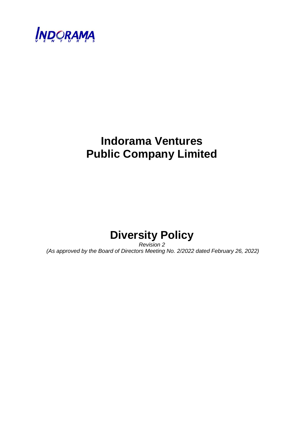

# **Indorama Ventures Public Company Limited**



*Revision 2 (As approved by the Board of Directors Meeting No. 2/2022 dated February 26, 2022)*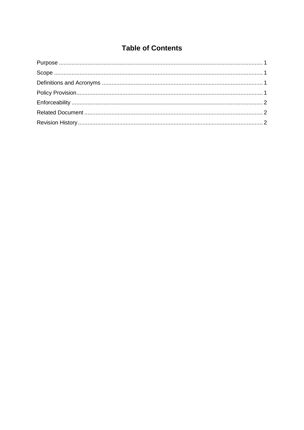# **Table of Contents**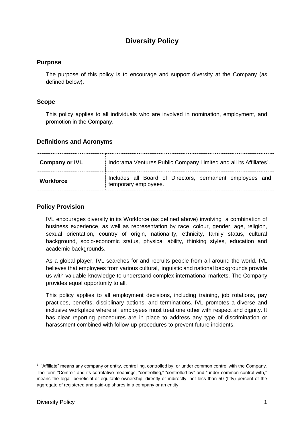# **Diversity Policy**

#### <span id="page-2-0"></span>**Purpose**

The purpose of this policy is to encourage and support diversity at the Company (as defined below).

#### <span id="page-2-1"></span>**Scope**

This policy applies to all individuals who are involved in nomination, employment, and promotion in the Company.

#### <span id="page-2-2"></span>**Definitions and Acronyms**

| <b>Company or IVL</b> | Indorama Ventures Public Company Limited and all its Affiliates <sup>1</sup> .   |  |  |  |
|-----------------------|----------------------------------------------------------------------------------|--|--|--|
| <b>Workforce</b>      | Includes all Board of Directors, permanent employees and<br>temporary employees. |  |  |  |

#### <span id="page-2-3"></span>**Policy Provision**

IVL encourages diversity in its Workforce (as defined above) involving a combination of business experience, as well as representation by race, colour, gender, age, religion, sexual orientation, country of origin, nationality, ethnicity, family status, cultural background, socio-economic status, physical ability, thinking styles, education and academic backgrounds.

As a global player, IVL searches for and recruits people from all around the world. IVL believes that employees from various cultural, linguistic and national backgrounds provide us with valuable knowledge to understand complex international markets. The Company provides equal opportunity to all.

This policy applies to all employment decisions, including training, job rotations, pay practices, benefits, disciplinary actions, and terminations. IVL promotes a diverse and inclusive workplace where all employees must treat one other with respect and dignity. It has clear reporting procedures are in place to address any type of discrimination or harassment combined with follow-up procedures to prevent future incidents.

-

<sup>&</sup>lt;sup>1</sup> "Affiliate" means any company or entity, controlling, controlled by, or under common control with the Company. The term "Control" and its correlative meanings, "controlling," "controlled by" and "under common control with," means the legal, beneficial or equitable ownership, directly or indirectly, not less than 50 (fifty) percent of the aggregate of registered and paid-up shares in a company or an entity.